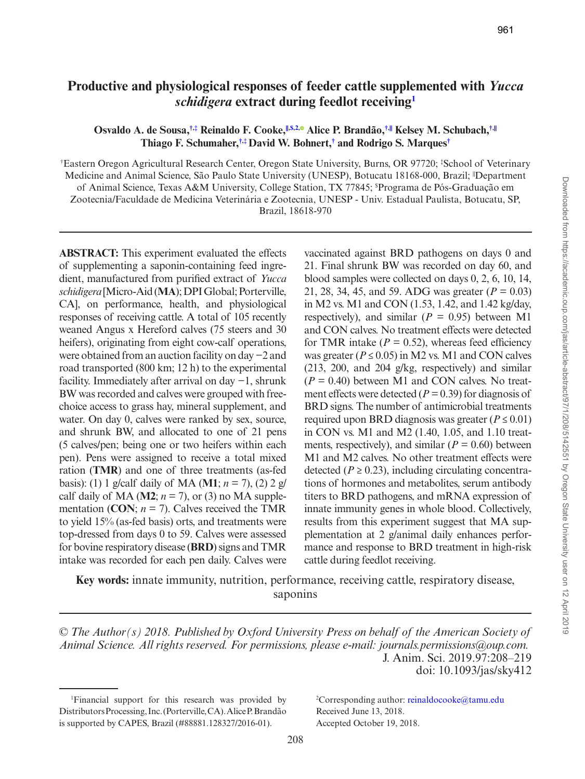# Downloaded from https://academic.oup.com/jas/article-abstract/97/1/208/5142551 by Oregon State University user on 12 April 2019 Downloaded from https://academic.oup.com/jas/article-abstract/97/1/208/5142551 by Oregon State University user on 12 April 2019

# **Productive and physiological responses of feeder cattle supplemented with** *Yucca schidigera* **extract during feedlot receivin[g1](#page-0-0)**

# **Osvaldo A. de Sousa,[†](#page-0-1)[,‡](#page-0-1) Reinaldo F. Cooke[,||,\\$,2](#page-0-1)[,](http://orcid.org/0000-0002-7497-3601) Alice P. Brandão,[†](#page-0-1),[||](#page-0-1) Kelsey M. Schubach,[†](#page-0-1),[||](#page-0-1) Thiago F. Schumaher,[†](#page-0-1),[‡](#page-0-1)David W. Bohnert,[†](#page-0-1) and Rodrigo S. Marques[†](#page-0-1)**

<span id="page-0-1"></span>† Eastern Oregon Agricultural Research Center, Oregon State University, Burns, OR 97720; ‡ School of Veterinary Medicine and Animal Science, São Paulo State University (UNESP), Botucatu 18168-000, Brazil; <sup>|</sup>Department of Animal Science, Texas A&M University, College Station, TX 77845; \$ Programa de Pós-Graduação em Zootecnia/Faculdade de Medicina Veterinária e Zootecnia, UNESP - Univ. Estadual Paulista, Botucatu, SP, Brazil, 18618-970

**ABSTRACT:** This experiment evaluated the effects of supplementing a saponin-containing feed ingredient, manufactured from purified extract of *Yucca schidigera* [Micro-Aid (**MA**); DPI Global; Porterville, CA], on performance, health, and physiological responses of receiving cattle. A total of 105 recently weaned Angus x Hereford calves (75 steers and 30 heifers), originating from eight cow-calf operations, were obtained from an auction facility on day −2 and road transported (800 km; 12 h) to the experimental facility. Immediately after arrival on day −1, shrunk BW was recorded and calves were grouped with freechoice access to grass hay, mineral supplement, and water. On day 0, calves were ranked by sex, source, and shrunk BW, and allocated to one of 21 pens (5 calves/pen; being one or two heifers within each pen). Pens were assigned to receive a total mixed ration (**TMR**) and one of three treatments (as-fed basis): (1) 1 g/calf daily of MA (**M1**; *n* = 7), (2) 2 g/ calf daily of MA ( $M2$ ;  $n = 7$ ), or (3) no MA supplementation (CON;  $n = 7$ ). Calves received the TMR to yield 15% (as-fed basis) orts, and treatments were top-dressed from days 0 to 59. Calves were assessed for bovine respiratory disease (**BRD**) signs and TMR intake was recorded for each pen daily. Calves were

vaccinated against BRD pathogens on days 0 and 21. Final shrunk BW was recorded on day 60, and blood samples were collected on days 0, 2, 6, 10, 14, 21, 28, 34, 45, and 59. ADG was greater (*P* = 0.03) in M2 vs. M1 and CON (1.53, 1.42, and 1.42 kg/day, respectively), and similar ( $P = 0.95$ ) between M1 and CON calves. No treatment effects were detected for TMR intake  $(P = 0.52)$ , whereas feed efficiency was greater ( $P \le 0.05$ ) in M2 vs. M1 and CON calves (213, 200, and 204 g/kg, respectively) and similar  $(P = 0.40)$  between M1 and CON calves. No treatment effects were detected (*P =* 0.39) for diagnosis of BRD signs. The number of antimicrobial treatments required upon BRD diagnosis was greater ( $P \le 0.01$ ) in CON vs. M1 and M2 (1.40, 1.05, and 1.10 treatments, respectively), and similar  $(P = 0.60)$  between M1 and M2 calves. No other treatment effects were detected ( $P \ge 0.23$ ), including circulating concentrations of hormones and metabolites, serum antibody titers to BRD pathogens, and mRNA expression of innate immunity genes in whole blood. Collectively, results from this experiment suggest that MA supplementation at 2 g/animal daily enhances performance and response to BRD treatment in high-risk cattle during feedlot receiving.

**Key words:** innate immunity, nutrition, performance, receiving cattle, respiratory disease, saponins

*© The Author(s) 2018. Published by Oxford University Press on behalf of the American Society of Animal Science. All rights reserved. For permissions, please e-mail: journals.permissions@oup.com.* J. Anim. Sci. 2019.97:208–219 doi: 10.1093/jas/sky412

2 Corresponding author: [reinaldocooke@tamu.edu](mailto:reinaldocooke@tamu.edu?subject=) Received June 13, 2018. Accepted October 19, 2018.

<span id="page-0-0"></span><sup>1</sup> Financial support for this research was provided by Distributors Processing, Inc. (Porterville, CA). Alice P. Brandão is supported by CAPES, Brazil (#88881.128327/2016-01).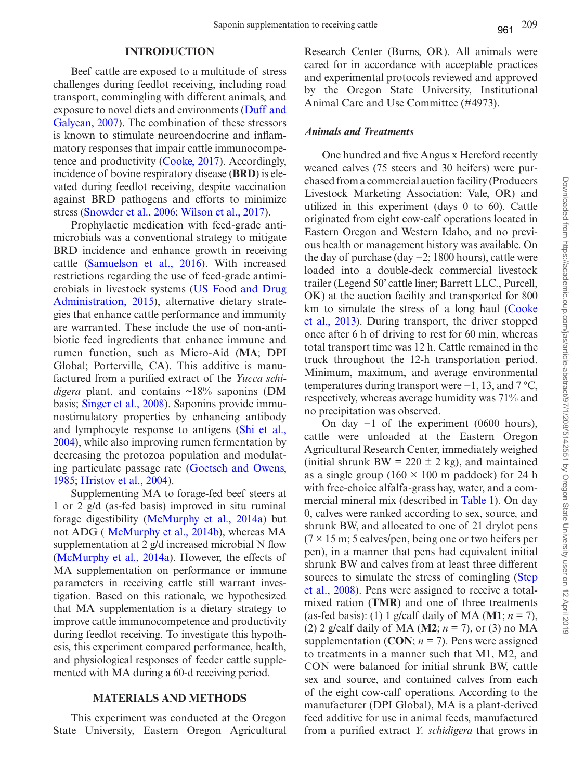# **INTRODUCTION**

Beef cattle are exposed to a multitude of stress challenges during feedlot receiving, including road transport, commingling with different animals, and exposure to novel diets and environments [\(Duff and](#page-10-0) [Galyean, 2007](#page-10-0)). The combination of these stressors is known to stimulate neuroendocrine and inflammatory responses that impair cattle immunocompetence and productivity [\(Cooke, 2017\)](#page-9-0). Accordingly, incidence of bovine respiratory disease (**BRD**) is elevated during feedlot receiving, despite vaccination against BRD pathogens and efforts to minimize stress [\(Snowder et al., 2006;](#page-11-0) [Wilson et al., 2017\)](#page-11-1).

Prophylactic medication with feed-grade antimicrobials was a conventional strategy to mitigate BRD incidence and enhance growth in receiving cattle [\(Samuelson et al., 2016\)](#page-10-1). With increased restrictions regarding the use of feed-grade antimicrobials in livestock systems [\(US Food and Drug](#page-11-2)  [Administration, 2015](#page-11-2)), alternative dietary strategies that enhance cattle performance and immunity are warranted. These include the use of non-antibiotic feed ingredients that enhance immune and rumen function, such as Micro-Aid (**MA**; DPI Global; Porterville, CA). This additive is manufactured from a purified extract of the *Yucca schidigera* plant, and contains ~18% saponins (DM basis; [Singer et al., 2008\)](#page-11-3). Saponins provide immunostimulatory properties by enhancing antibody and lymphocyte response to antigens [\(Shi et al.,](#page-11-4) [2004](#page-11-4)), while also improving rumen fermentation by decreasing the protozoa population and modulating particulate passage rate [\(Goetsch and Owens,](#page-10-2) [1985](#page-10-2); [Hristov et al., 2004](#page-10-3)).

Supplementing MA to forage-fed beef steers at 1 or 2 g/d (as-fed basis) improved in situ ruminal forage digestibility [\(McMurphy et al., 2014a\)](#page-10-4) but not ADG ( [McMurphy et al., 2014b](#page-10-5)), whereas MA supplementation at 2 g/d increased microbial N flow ([McMurphy et al., 2014a](#page-10-4)). However, the effects of MA supplementation on performance or immune parameters in receiving cattle still warrant investigation. Based on this rationale, we hypothesized that MA supplementation is a dietary strategy to improve cattle immunocompetence and productivity during feedlot receiving. To investigate this hypothesis, this experiment compared performance, health, and physiological responses of feeder cattle supplemented with MA during a 60-d receiving period.

# **MATERIALS AND METHODS**

This experiment was conducted at the Oregon State University, Eastern Oregon Agricultural Research Center (Burns, OR). All animals were cared for in accordance with acceptable practices and experimental protocols reviewed and approved by the Oregon State University, Institutional Animal Care and Use Committee (#4973).

## *Animals and Treatments*

One hundred and five Angus x Hereford recently weaned calves (75 steers and 30 heifers) were purchased from a commercial auction facility (Producers Livestock Marketing Association; Vale, OR) and utilized in this experiment (days 0 to 60). Cattle originated from eight cow-calf operations located in Eastern Oregon and Western Idaho, and no previous health or management history was available. On the day of purchase (day −2; 1800 hours), cattle were loaded into a double-deck commercial livestock trailer (Legend 50' cattle liner; Barrett LLC., Purcell, OK) at the auction facility and transported for 800 km to simulate the stress of a long haul ([Cooke](#page-10-6)  [et al., 2013\)](#page-10-6). During transport, the driver stopped once after 6 h of driving to rest for 60 min, whereas total transport time was 12 h. Cattle remained in the truck throughout the 12-h transportation period. Minimum, maximum, and average environmental temperatures during transport were −1, 13, and 7 °C, respectively, whereas average humidity was 71% and no precipitation was observed.

On day −1 of the experiment (0600 hours), cattle were unloaded at the Eastern Oregon Agricultural Research Center, immediately weighed (initial shrunk BW =  $220 \pm 2$  kg), and maintained as a single group (160  $\times$  100 m paddock) for 24 h with free-choice alfalfa-grass hay, water, and a commercial mineral mix (described in [Table 1](#page-2-0)). On day 0, calves were ranked according to sex, source, and shrunk BW, and allocated to one of 21 drylot pens  $(7 \times 15 \text{ m}; 5 \text{ calves/pen}, \text{being one or two heights per})$ pen), in a manner that pens had equivalent initial shrunk BW and calves from at least three different sources to simulate the stress of comingling (Step) [et al., 2008\)](#page-11-5). Pens were assigned to receive a totalmixed ration (**TMR**) and one of three treatments (as-fed basis): (1) 1 g/calf daily of MA (**M1**; *n* = 7), (2) 2 g/calf daily of MA (**M2**; *n* = 7), or (3) no MA supplementation (CON;  $n = 7$ ). Pens were assigned to treatments in a manner such that M1, M2, and CON were balanced for initial shrunk BW, cattle sex and source, and contained calves from each of the eight cow-calf operations. According to the manufacturer (DPI Global), MA is a plant-derived feed additive for use in animal feeds, manufactured from a purified extract *Y. schidigera* that grows in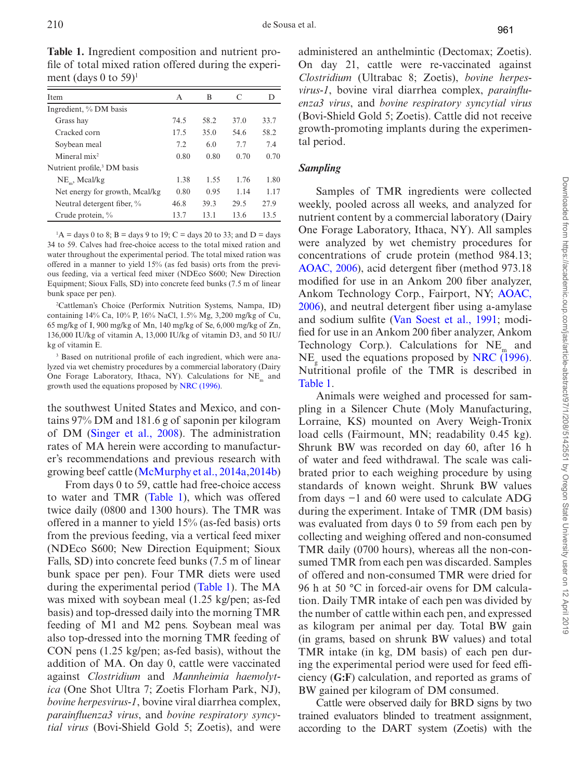| 13.6<br>13.5<br>$\mathbf{1}$                                                                                                                 | nutrient content by a comme                                                                                                                      |
|----------------------------------------------------------------------------------------------------------------------------------------------|--------------------------------------------------------------------------------------------------------------------------------------------------|
| to 33; and $D =$ days<br>tal mixed ration and<br>tal mixed ration was<br>orts from the previ-<br>600; New Direction<br>unks (7.5 m of linear | One Forage Laboratory, Ith<br>were analyzed by wet che<br>concentrations of crude pr<br>AOAC, 2006), acid deterger<br>modified for use in an Ank |
|                                                                                                                                              | Ankom Technology Corp.,                                                                                                                          |
| stems, Nampa, ID)<br>$3,200$ mg/kg of Cu,<br>$\epsilon$ , 6,000 mg/kg of Zn,<br>amin D3, and 50 IU/                                          | 2006), and neutral detergen<br>and sodium sulfite (Van So<br>fied for use in an Ankom 200<br>Technology Corp.). Calcu                            |
| ent, which were ana-<br>ial laboratory (Dairy<br>tions for NE <sub>m</sub> and<br>16).                                                       | $NE_{\sigma}$ used the equations pro<br>Nutritional profile of the<br>Table 1.<br>Animals were weighed                                           |
| exico, and con-                                                                                                                              | pling in a Silencer Chute                                                                                                                        |
| in per kilogram                                                                                                                              | Lorraine, KS) mounted of                                                                                                                         |
| administration                                                                                                                               | load cells (Fairmount, MN                                                                                                                        |
| to manufactur-                                                                                                                               | Shrunk BW was recorded                                                                                                                           |
| s research with<br>$AA + A$                                                                                                                  | of water and feed withdrav                                                                                                                       |

<span id="page-2-0"></span>**Table 1.** Ingredient composition and nutrient profile of total mixed ration offered during the experiment (days 0 to 59)<sup>1</sup>

Item A B C D

Ingredient, % DM basis Grass hay 74.5 58.2 37.0 33.7 Cracked corn 17.5 35.0 54.6 58.2 Soybean meal 7.2 6.0 7.7 7.4 Mineral mix<sup>2</sup> 0.80 0.80 0.70 0.70 Nutrient profile,<sup>3</sup> DM basis NE<sub>m</sub>, Mcal/kg 1.38 1.55 1.76 1.80 Net energy for growth, Mcal/kg 0.80 0.95 1.14 1.17 Neutral detergent fiber, % 46.8 39.3 29.5 27.9 Crude protein,  $\%$  13.7 13.

 ${}^{1}$ A = days 0 to 8; B = days 9 to 19; C = days 20 to 33; and D = days 34 to 59. Calves had free-choice access to the to water throughout the experimental period. The to offered in a manner to yield 15% (as fed basis) ous feeding, via a vertical feed mixer (NDEco S Equipment; Sioux Falls, SD) into concrete feed bunks bunk space per pen).

2 Cattleman's Choice (Performix Nutrition Systems, Nampa, ID) containing 14% Ca, 10% P, 16% NaCl, 1.5% Mg, 65 mg/kg of I, 900 mg/kg of Mn, 140 mg/kg of Se 136,000 IU/kg of vitamin A, 13,000 IU/kg of vita kg of vitamin E.

3 Based on nutritional profile of each ingredient, which were analyzed via wet chemistry procedures by a commerci One Forage Laboratory, Ithaca, NY). Calcula growth used the equations proposed by NRC (199

the southwest United States and Mexico. tains  $97\%$  DM and 181.6 g of sapon of DM (Singer et al.,  $2008$ ). The rates of MA herein were according er's recommendations and previous growing beef cattle [\(McMurphy et al., 2014a](#page-10-4)[,2014b](#page-10-5))

From days 0 to 59, cattle had free-choice access to water and TMR (Table 1), which was offered twice daily (0800 and 1300 hours). The TMR was offered in a manner to yield 15% (as-fed basis) orts from the previous feeding, via a vertical feed mixer (NDEco S600; New Direction Equipment; Sioux Falls, SD) into concrete feed bunks (7.5 m of linear bunk space per pen). Four TMR diets were used during the experimental period [\(Table 1](#page-2-0)). The MA was mixed with soybean meal (1.25 kg/pen; as-fed basis) and top-dressed daily into the morning TMR feeding of M1 and M2 pens. Soybean meal was also top-dressed into the morning TMR feeding of CON pens (1.25 kg/pen; as-fed basis), without the addition of MA. On day 0, cattle were vaccinated against *Clostridium* and *Mannheimia haemolytica* (One Shot Ultra 7; Zoetis Florham Park, NJ), *bovine herpesvirus-1*, bovine viral diarrhea complex, *parainfluenza3 virus*, and *bovine respiratory syncytial virus* (Bovi-Shield Gold 5; Zoetis), and were

administered an anthelmintic (Dectomax; Zoetis). On day 21, cattle were re-vaccinated against *Clostridium* (Ultrabac 8; Zoetis), *bovine herpesvirus-1*, bovine viral diarrhea complex, *parainfluenza3 virus*, and *bovine respiratory syncytial virus* (Bovi-Shield Gold 5; Zoetis). Cattle did not receive growth-promoting implants during the experimental period.

# *Sampling*

Samples of TMR ingredients were collected weekly, pooled across all weeks, and analyzed for ercial laboratory (Dairy haca, NY). All samples emistry procedures for rotein (method 984.13; nt fiber (method 973.18) kom 200 fiber analyzer, Fairport, NY; AOAC, It fiber using a-amylase best et al., 1991; modi-0 fiber analyzer, Ankom dations for  $NE<sub>m</sub>$  and posed by [NRC \(1996\)](#page-10-7). TMR is described in

and processed for sam-(Moly Manufacturing, n Avery Weigh-Tronix  $\sqrt{s}$ ; readability 0.45 kg). on day 60, after 16 h val. The scale was calibrated prior to each weighing procedure by using standards of known weight. Shrunk BW values from days −1 and 60 were used to calculate ADG during the experiment. Intake of TMR (DM basis) was evaluated from days 0 to 59 from each pen by collecting and weighing offered and non-consumed TMR daily (0700 hours), whereas all the non-consumed TMR from each pen was discarded. Samples of offered and non-consumed TMR were dried for 96 h at 50 °C in forced-air ovens for DM calculation. Daily TMR intake of each pen was divided by the number of cattle within each pen, and expressed as kilogram per animal per day. Total BW gain (in grams, based on shrunk BW values) and total TMR intake (in kg, DM basis) of each pen during the experimental period were used for feed efficiency (**G:F**) calculation, and reported as grams of BW gained per kilogram of DM consumed.

Cattle were observed daily for BRD signs by two trained evaluators blinded to treatment assignment, according to the DART system (Zoetis) with the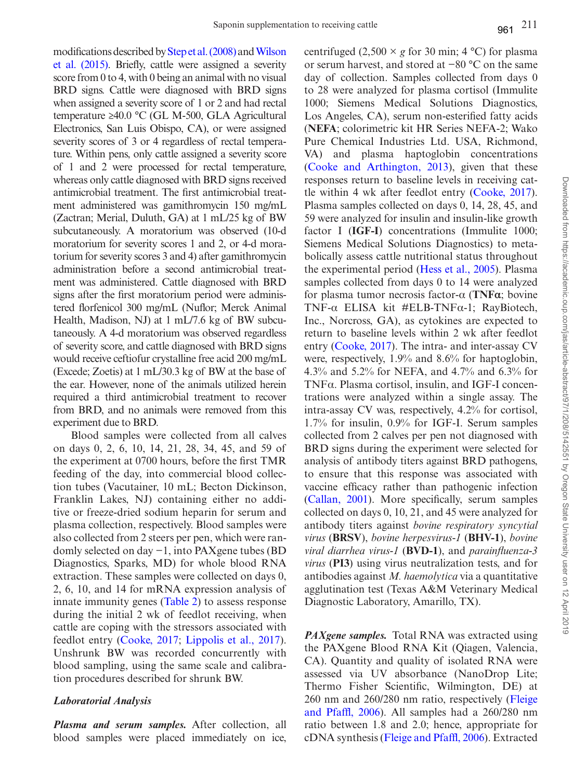modifications described by [Step et al. \(2008\)](#page-11-5) and [Wilson](#page-11-7) [et al. \(2015\).](#page-11-7) Briefly, cattle were assigned a severity score from 0 to 4, with 0 being an animal with no visual BRD signs. Cattle were diagnosed with BRD signs when assigned a severity score of 1 or 2 and had rectal temperature ≥40.0 °C (GL M-500, GLA Agricultural Electronics, San Luis Obispo, CA), or were assigned severity scores of 3 or 4 regardless of rectal temperature. Within pens, only cattle assigned a severity score of 1 and 2 were processed for rectal temperature, whereas only cattle diagnosed with BRD signs received antimicrobial treatment. The first antimicrobial treatment administered was gamithromycin 150 mg/mL (Zactran; Merial, Duluth, GA) at 1 mL/25 kg of BW subcutaneously. A moratorium was observed (10-d moratorium for severity scores 1 and 2, or 4-d moratorium for severity scores 3 and 4) after gamithromycin administration before a second antimicrobial treatment was administered. Cattle diagnosed with BRD signs after the first moratorium period were administered florfenicol 300 mg/mL (Nuflor; Merck Animal Health, Madison, NJ) at 1 mL/7.6 kg of BW subcutaneously. A 4-d moratorium was observed regardless of severity score, and cattle diagnosed with BRD signs would receive ceftiofur crystalline free acid 200 mg/mL (Excede; Zoetis) at 1 mL/30.3 kg of BW at the base of the ear. However, none of the animals utilized herein required a third antimicrobial treatment to recover from BRD, and no animals were removed from this experiment due to BRD.

Blood samples were collected from all calves on days 0, 2, 6, 10, 14, 21, 28, 34, 45, and 59 of the experiment at 0700 hours, before the first TMR feeding of the day, into commercial blood collection tubes (Vacutainer, 10 mL; Becton Dickinson, Franklin Lakes, NJ) containing either no additive or freeze-dried sodium heparin for serum and plasma collection, respectively. Blood samples were also collected from 2 steers per pen, which were randomly selected on day −1, into PAXgene tubes (BD Diagnostics, Sparks, MD) for whole blood RNA extraction. These samples were collected on days 0, 2, 6, 10, and 14 for mRNA expression analysis of innate immunity genes ([Table 2](#page-4-0)) to assess response during the initial 2 wk of feedlot receiving, when cattle are coping with the stressors associated with feedlot entry [\(Cooke, 2017](#page-9-0); [Lippolis et al., 2017](#page-10-8)). Unshrunk BW was recorded concurrently with blood sampling, using the same scale and calibration procedures described for shrunk BW.

# *Laboratorial Analysis*

*Plasma and serum samples.* After collection, all blood samples were placed immediately on ice, centrifuged  $(2,500 \times g$  for 30 min; 4 °C) for plasma or serum harvest, and stored at −80 °C on the same day of collection. Samples collected from days 0 to 28 were analyzed for plasma cortisol (Immulite 1000; Siemens Medical Solutions Diagnostics, Los Angeles, CA), serum non-esterified fatty acids (**NEFA**; colorimetric kit HR Series NEFA-2; Wako Pure Chemical Industries Ltd. USA, Richmond, VA) and plasma haptoglobin concentrations ([Cooke and Arthington, 2013](#page-10-6)), given that these responses return to baseline levels in receiving cattle within 4 wk after feedlot entry ([Cooke, 2017](#page-9-0)). Plasma samples collected on days 0, 14, 28, 45, and 59 were analyzed for insulin and insulin-like growth factor I (**IGF-I**) concentrations (Immulite 1000; Siemens Medical Solutions Diagnostics) to metabolically assess cattle nutritional status throughout the experimental period [\(Hess et al., 2005\)](#page-10-9). Plasma samples collected from days 0 to 14 were analyzed for plasma tumor necrosis factor-α (**TNFα**; bovine TNF-α ELISA kit #ELB-TNFα-1; RayBiotech, Inc., Norcross, GA), as cytokines are expected to return to baseline levels within 2 wk after feedlot entry ([Cooke, 2017](#page-9-0)). The intra- and inter-assay CV were, respectively, 1.9% and 8.6% for haptoglobin, 4.3% and 5.2% for NEFA, and 4.7% and 6.3% for TNFα. Plasma cortisol, insulin, and IGF-I concentrations were analyzed within a single assay. The intra-assay CV was, respectively, 4.2% for cortisol, 1.7% for insulin, 0.9% for IGF-I. Serum samples collected from 2 calves per pen not diagnosed with BRD signs during the experiment were selected for analysis of antibody titers against BRD pathogens, to ensure that this response was associated with vaccine efficacy rather than pathogenic infection ([Callan, 2001\)](#page-9-2). More specifically, serum samples collected on days 0, 10, 21, and 45 were analyzed for antibody titers against *bovine respiratory syncytial virus* (**BRSV**), *bovine herpesvirus-1* (**BHV-1**), *bovine viral diarrhea virus-1* (**BVD-1**), and *parainfluenza-3 virus* (**PI3**) using virus neutralization tests, and for antibodies against *M. haemolytica* via a quantitative agglutination test (Texas A&M Veterinary Medical Diagnostic Laboratory, Amarillo, TX).

*PAXgene samples.* Total RNA was extracted using the PAXgene Blood RNA Kit (Qiagen, Valencia, CA). Quantity and quality of isolated RNA were assessed via UV absorbance (NanoDrop Lite; Thermo Fisher Scientific, Wilmington, DE) at 260 nm and 260/280 nm ratio, respectively ([Fleige](#page-10-10) [and Pfaffl, 2006\)](#page-10-10). All samples had a 260/280 nm ratio between 1.8 and 2.0; hence, appropriate for cDNA synthesis ([Fleige and Pfaffl, 2006\)](#page-10-10). Extracted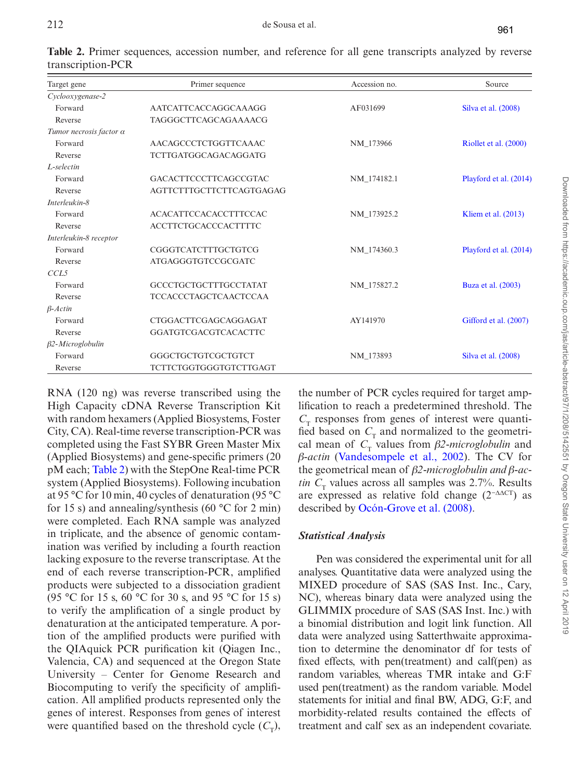| Target gene             | Primer sequence                 | Accession no. | Source                 |  |
|-------------------------|---------------------------------|---------------|------------------------|--|
| Cyclooxygenase-2        |                                 |               |                        |  |
| Forward                 | AATCATTCACCAGGCAAAGG            | AF031699      | Silva et al. (2008)    |  |
| Reverse                 | TAGGGCTTCAGCAGAAAACG            |               |                        |  |
| Tumor necrosis factor a |                                 |               |                        |  |
| Forward                 | AACAGCCCTCTGGTTCAAAC            | NM 173966     | Riollet et al. (2000)  |  |
| Reverse                 | <b>TCTTGATGGCAGACAGGATG</b>     |               |                        |  |
| L-selectin              |                                 |               |                        |  |
| Forward                 | <b>GACACTTCCCTTCAGCCGTAC</b>    | NM 174182.1   | Playford et al. (2014) |  |
| Reverse                 | <b>AGTTCTTTGCTTCTTCAGTGAGAG</b> |               |                        |  |
| Interleukin-8           |                                 |               |                        |  |
| Forward                 | <b>ACACATTCCACACCTTTCCAC</b>    | NM 173925.2   | Kliem et al. $(2013)$  |  |
| Reverse                 | <b>ACCTTCTGCACCCACTTTTC</b>     |               |                        |  |
| Interleukin-8 receptor  |                                 |               |                        |  |
| Forward                 | CGGGTCATCTTTGCTGTCG             | NM 174360.3   | Playford et al. (2014) |  |
| Reverse                 | <b>ATGAGGGTGTCCGCGATC</b>       |               |                        |  |
| CCL5                    |                                 |               |                        |  |
| Forward                 | <b>GCCCTGCTGCTTTGCCTATAT</b>    | NM 175827.2   | Buza et al. (2003)     |  |
| Reverse                 | <b>TCCACCCTAGCTCAACTCCAA</b>    |               |                        |  |
| $\beta$ -Actin          |                                 |               |                        |  |
| Forward                 | CTGGACTTCGAGCAGGAGAT            | AY141970      | Gifford et al. (2007)  |  |
| Reverse                 | GGATGTCGACGTCACACTTC            |               |                        |  |
| $\beta$ 2-Microglobulin |                                 |               |                        |  |
| Forward                 | GGGCTGCTGTCGCTGTCT              | NM 173893     | Silva et al. (2008)    |  |
| Reverse                 | TCTTCTGGTGGGTGTCTTGAGT          |               |                        |  |

<span id="page-4-0"></span>**Table 2.** Primer sequences, accession number, and reference for all gene transcripts analyzed by reverse transcription-PCR

RNA (120 ng) was reverse transcribed using the High Capacity cDNA Reverse Transcription Kit with random hexamers (Applied Biosystems, Foster City, CA). Real-time reverse transcription-PCR was completed using the Fast SYBR Green Master Mix (Applied Biosystems) and gene-specific primers (20 pM each; [Table 2\)](#page-4-0) with the StepOne Real-time PCR system (Applied Biosystems). Following incubation at 95 °C for 10 min, 40 cycles of denaturation (95 °C for 15 s) and annealing/synthesis (60  $\degree$ C for 2 min) were completed. Each RNA sample was analyzed in triplicate, and the absence of genomic contamination was verified by including a fourth reaction lacking exposure to the reverse transcriptase. At the end of each reverse transcription-PCR, amplified products were subjected to a dissociation gradient (95 °C for 15 s, 60 °C for 30 s, and 95 °C for 15 s) to verify the amplification of a single product by denaturation at the anticipated temperature. A portion of the amplified products were purified with the QIAquick PCR purification kit (Qiagen Inc., Valencia, CA) and sequenced at the Oregon State University – Center for Genome Research and Biocomputing to verify the specificity of amplification. All amplified products represented only the genes of interest. Responses from genes of interest were quantified based on the threshold cycle  $(C<sub>\tau</sub>)$ ,

the number of PCR cycles required for target amplification to reach a predetermined threshold. The  $C<sub>r</sub>$  responses from genes of interest were quantified based on  $C<sub>T</sub>$  and normalized to the geometrical mean of  $C<sub>T</sub>$  values from  $\beta$ *2-microglobulin* and *β-actin* [\(Vandesompele et al., 2002\)](#page-11-8). The CV for the geometrical mean of *β2-microglobulin and β-actin*  $C<sub>r</sub>$  values across all samples was 2.7%. Results are expressed as relative fold change  $(2^{-\Delta\Delta}C)$  as described by [Ocón-Grove et al. \(2008\)](#page-10-11).

# *Statistical Analysis*

Pen was considered the experimental unit for all analyses. Quantitative data were analyzed using the MIXED procedure of SAS (SAS Inst. Inc., Cary, NC), whereas binary data were analyzed using the GLIMMIX procedure of SAS (SAS Inst. Inc.) with a binomial distribution and logit link function. All data were analyzed using Satterthwaite approximation to determine the denominator df for tests of fixed effects, with pen(treatment) and calf(pen) as random variables, whereas TMR intake and G:F used pen(treatment) as the random variable. Model statements for initial and final BW, ADG, G:F, and morbidity-related results contained the effects of treatment and calf sex as an independent covariate.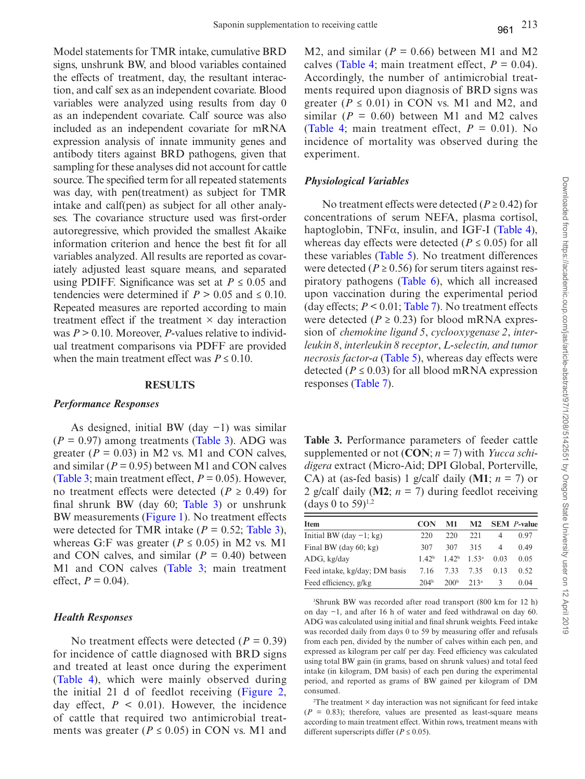Model statements for TMR intake, cumulative BRD signs, unshrunk BW, and blood variables contained the effects of treatment, day, the resultant interaction, and calf sex as an independent covariate. Blood variables were analyzed using results from day 0 as an independent covariate. Calf source was also included as an independent covariate for mRNA expression analysis of innate immunity genes and antibody titers against BRD pathogens, given that sampling for these analyses did not account for cattle source. The specified term for all repeated statements was day, with pen(treatment) as subject for TMR intake and calf(pen) as subject for all other analyses. The covariance structure used was first-order autoregressive, which provided the smallest Akaike information criterion and hence the best fit for all variables analyzed. All results are reported as covariately adjusted least square means, and separated using PDIFF. Significance was set at  $P \leq 0.05$  and tendencies were determined if  $P > 0.05$  and  $\leq 0.10$ . Repeated measures are reported according to main treatment effect if the treatment  $\times$  day interaction was *P* > 0.10. Moreover, *P*-values relative to individual treatment comparisons via PDFF are provided when the main treatment effect was  $P \leq 0.10$ .

### **RESULTS**

### *Performance Responses*

As designed, initial BW (day −1) was similar  $(P = 0.97)$  among treatments ([Table 3](#page-5-0)). ADG was greater ( $P = 0.03$ ) in M2 vs. M1 and CON calves, and similar ( $P = 0.95$ ) between M1 and CON calves ([Table 3;](#page-5-0) main treatment effect, *P* = 0.05). However, no treatment effects were detected ( $P \ge 0.49$ ) for final shrunk BW (day 60; [Table 3\)](#page-5-0) or unshrunk BW measurements ([Figure 1\)](#page-6-0). No treatment effects were detected for TMR intake  $(P = 0.52;$  [Table 3](#page-5-0)), whereas G:F was greater ( $P \le 0.05$ ) in M2 vs. M1 and CON calves, and similar  $(P = 0.40)$  between M1 and CON calves (Table 3; main treatment effect,  $P = 0.04$ ).

### *Health Responses*

No treatment effects were detected (*P =* 0.39) for incidence of cattle diagnosed with BRD signs and treated at least once during the experiment ([Table 4\)](#page-6-1), which were mainly observed during the initial 21 d of feedlot receiving ([Figure 2](#page-7-0), day effect,  $P \leq 0.01$ ). However, the incidence of cattle that required two antimicrobial treatments was greater ( $P \le 0.05$ ) in CON vs. M1 and M2, and similar ( $P = 0.66$ ) between M1 and M2 calves ([Table 4](#page-6-1); main treatment effect,  $P = 0.04$ ). Accordingly, the number of antimicrobial treatments required upon diagnosis of BRD signs was greater ( $P \le 0.01$ ) in CON vs. M1 and M2, and similar  $(P = 0.60)$  between M1 and M2 calves (Table 4; main treatment effect,  $P = 0.01$ ). No incidence of mortality was observed during the experiment.

### *Physiological Variables*

No treatment effects were detected ( $P \ge 0.42$ ) for concentrations of serum NEFA, plasma cortisol, haptoglobin,  $TNF\alpha$ , insulin, and IGF-I ([Table 4](#page-6-1)), whereas day effects were detected ( $P \le 0.05$ ) for all these variables [\(Table 5\)](#page-7-1). No treatment differences were detected ( $P \ge 0.56$ ) for serum titers against respiratory pathogens [\(Table 6\)](#page-8-0), which all increased upon vaccination during the experimental period (day effects; *P* < 0.01; [Table 7](#page-8-1)). No treatment effects were detected ( $P \ge 0.23$ ) for blood mRNA expression of *chemokine ligand 5*, *cyclooxygenase 2*, *interleukin 8*, *interleukin 8 receptor*, *L-selectin, and tumor necrosis factor-a* [\(Table 5\)](#page-7-1), whereas day effects were detected ( $P \le 0.03$ ) for all blood mRNA expression responses [\(Table 7\)](#page-8-1).

<span id="page-5-0"></span>**Table 3.** Performance parameters of feeder cattle supplemented or not (**CON**; *n* = 7) with *Yucca schidigera* extract (Micro-Aid; DPI Global, Porterville, CA) at (as-fed basis) 1 g/calf daily (M1;  $n = 7$ ) or 2 g/calf daily ( $M2$ ;  $n = 7$ ) during feedlot receiving (days 0 to 59) $^{1,2}$ 

| <b>Item</b>                   | CON              | M1                        | M <sub>2</sub> |               | <b>SEM</b> <i>P</i> -value |
|-------------------------------|------------------|---------------------------|----------------|---------------|----------------------------|
| Initial BW (day $-1$ ; kg)    | 220              | 220                       | 221            | 4             | 0.97                       |
| Final BW (day $60$ ; kg)      | 307              | 307                       | 315            | 4             | 0.49                       |
| ADG, kg/day                   | 142 <sup>b</sup> | $1.42b$ 1.53 <sup>a</sup> |                | 0.03          | 0.05                       |
| Feed intake, kg/day; DM basis | 7.16             | 7.33                      | 7.35           | 0.13          | 0.52                       |
| Feed efficiency, g/kg         | 204 <sup>b</sup> | 200 <sup>b</sup>          | $213^a$        | $\mathcal{R}$ | 0.04                       |

1 Shrunk BW was recorded after road transport (800 km for 12 h) on day −1, and after 16 h of water and feed withdrawal on day 60. ADG was calculated using initial and final shrunk weights. Feed intake was recorded daily from days 0 to 59 by measuring offer and refusals from each pen, divided by the number of calves within each pen, and expressed as kilogram per calf per day. Feed efficiency was calculated using total BW gain (in grams, based on shrunk values) and total feed intake (in kilogram, DM basis) of each pen during the experimental period, and reported as grams of BW gained per kilogram of DM consumed.

 $2$ The treatment  $\times$  day interaction was not significant for feed intake  $(P = 0.83)$ ; therefore, values are presented as least-square means according to main treatment effect. Within rows, treatment means with different superscripts differ ( $P \le 0.05$ ).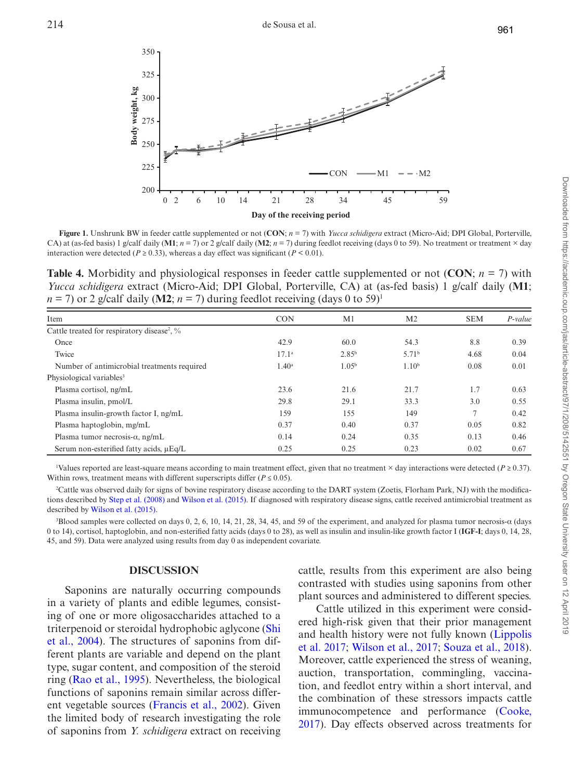

<span id="page-6-0"></span>**Figure 1.** Unshrunk BW in feeder cattle supplemented or not (**CON**; *n* = 7) with *Yucca schidigera* extract (Micro-Aid; DPI Global, Porterville, CA) at (as-fed basis) 1 g/calf daily (M1;  $n = 7$ ) or 2 g/calf daily (M2;  $n = 7$ ) during feedlot receiving (days 0 to 59). No treatment or treatment  $\times$  day interaction were detected ( $P \ge 0.33$ ), whereas a day effect was significant ( $P \le 0.01$ ).

<span id="page-6-1"></span>**Table 4.** Morbidity and physiological responses in feeder cattle supplemented or not (**CON**; *n* = 7) with *Yucca schidigera* extract (Micro-Aid; DPI Global, Porterville, CA) at (as-fed basis) 1 g/calf daily (**M1**;  $n = 7$ ) or 2 g/calf daily (M2;  $n = 7$ ) during feedlot receiving (days 0 to 59)<sup>1</sup>

| Item                                                    | <b>CON</b>     | M <sub>1</sub>    | M <sub>2</sub>    | <b>SEM</b> | $P$ -value |
|---------------------------------------------------------|----------------|-------------------|-------------------|------------|------------|
| Cattle treated for respiratory disease <sup>2</sup> , % |                |                   |                   |            |            |
| Once                                                    | 42.9           | 60.0              | 54.3              | 8.8        | 0.39       |
| Twice                                                   | $17.1^{\circ}$ | 2.85 <sup>b</sup> | 5.71 <sup>b</sup> | 4.68       | 0.04       |
| Number of antimicrobial treatments required             | $1.40^{\rm a}$ | 1.05 <sup>b</sup> | 1.10 <sup>b</sup> | 0.08       | 0.01       |
| Physiological variables <sup>3</sup>                    |                |                   |                   |            |            |
| Plasma cortisol, ng/mL                                  | 23.6           | 21.6              | 21.7              | 1.7        | 0.63       |
| Plasma insulin, pmol/L                                  | 29.8           | 29.1              | 33.3              | 3.0        | 0.55       |
| Plasma insulin-growth factor I, ng/mL                   | 159            | 155               | 149               | 7          | 0.42       |
| Plasma haptoglobin, mg/mL                               | 0.37           | 0.40              | 0.37              | 0.05       | 0.82       |
| Plasma tumor necrosis- $\alpha$ , ng/mL                 | 0.14           | 0.24              | 0.35              | 0.13       | 0.46       |
| Serum non-esterified fatty acids, $\mu$ Eq/L            | 0.25           | 0.25              | 0.23              | 0.02       | 0.67       |

1 Values reported are least-square means according to main treatment effect, given that no treatment × day interactions were detected (*P* ≥ 0.37). Within rows, treatment means with different superscripts differ ( $P \le 0.05$ ).

2 Cattle was observed daily for signs of bovine respiratory disease according to the DART system (Zoetis, Florham Park, NJ) with the modifications described by [Step et al. \(2008\)](#page-11-5) and [Wilson et al. \(2015\).](#page-11-7) If diagnosed with respiratory disease signs, cattle received antimicrobial treatment as described by [Wilson et al. \(2015\).](#page-11-7)

3 Blood samples were collected on days 0, 2, 6, 10, 14, 21, 28, 34, 45, and 59 of the experiment, and analyzed for plasma tumor necrosis-α (days 0 to 14), cortisol, haptoglobin, and non-esterified fatty acids (days 0 to 28), as well as insulin and insulin-like growth factor I (**IGF-I**; days 0, 14, 28, 45, and 59). Data were analyzed using results from day 0 as independent covariate.

### **DISCUSSION**

Saponins are naturally occurring compounds in a variety of plants and edible legumes, consisting of one or more oligosaccharides attached to a triterpenoid or steroidal hydrophobic aglycone ([Shi](#page-11-4) [et al., 2004\)](#page-11-4). The structures of saponins from different plants are variable and depend on the plant type, sugar content, and composition of the steroid ring ([Rao et al., 1995](#page-10-16)). Nevertheless, the biological functions of saponins remain similar across different vegetable sources [\(Francis et al., 2002](#page-10-17)). Given the limited body of research investigating the role of saponins from *Y. schidigera* extract on receiving cattle, results from this experiment are also being contrasted with studies using saponins from other plant sources and administered to different species.

Cattle utilized in this experiment were considered high-risk given that their prior management and health history were not fully known [\(Lippolis](#page-10-8)  [et al. 2017](#page-10-8); [Wilson et al., 2017](#page-11-1); [Souza et al., 2018](#page-11-10)). Moreover, cattle experienced the stress of weaning, auction, transportation, commingling, vaccination, and feedlot entry within a short interval, and the combination of these stressors impacts cattle immunocompetence and performance ([Cooke,](#page-9-0)  [2017\)](#page-9-0). Day effects observed across treatments for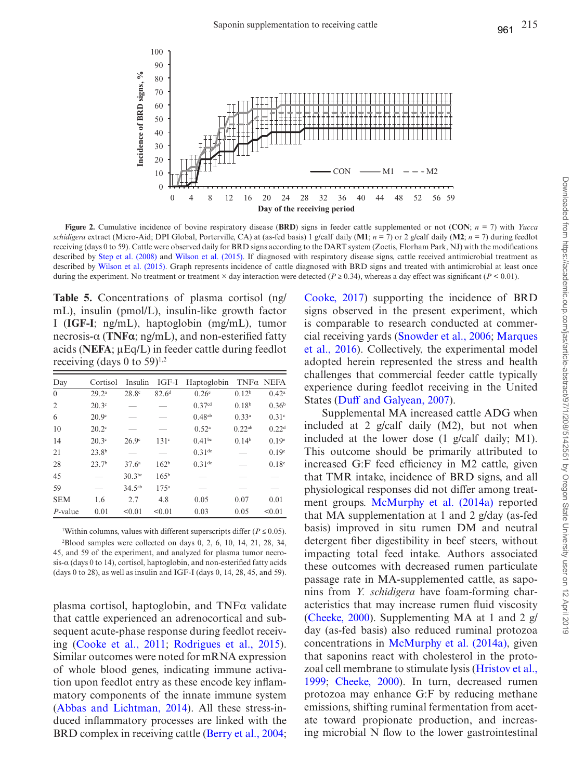



**Figure 2.** Cumulative incidence of bovine respiratory disease (**BRD**) signs in feeder cattle supplemented or not (**CON**; *n* = 7) with *Yucca schidigera* extract (Micro-Aid; DPI Global, Porterville, CA) at (as-fed basis) 1 g/calf daily (**M1**;  $n = 7$ ) or 2 g/calf daily (**M2**;  $n = 7$ ) during feedlot receiving (days 0 to 59). Cattle were observed daily for BRD signs according to the DART system (Zoetis, Florham Park, NJ) with the modifications described by [Step et al. \(2008\)](#page-11-5) and [Wilson et al. \(2015\)](#page-11-7). If diagnosed with respiratory disease signs, cattle received antimicrobial treatment as described by [Wilson et al. \(2015\).](#page-11-7) Graph represents incidence of cattle diagnosed with BRD signs and treated with antimicrobial at least once during the experiment. No treatment or treatment  $\times$  day interaction were detected ( $P \ge 0.34$ ), whereas a day effect was significant ( $P \le 0.01$ ).

<span id="page-7-1"></span>**Table 5.** Concentrations of plasma cortisol (ng/ mL), insulin (pmol/L), insulin-like growth factor I (**IGF-I**; ng/mL), haptoglobin (mg/mL), tumor necrosis-α (**TNFα**; ng/mL), and non-esterified fatty acids (**NEFA**; μEq/L) in feeder cattle during feedlot receiving (days 0 to 59)<sup>1,2</sup>

| Day          | Cortisol          | Insulin           | IGF-I             | Haptoglobin        |                   | $TNF\alpha$ NEFA  |
|--------------|-------------------|-------------------|-------------------|--------------------|-------------------|-------------------|
| $\mathbf{0}$ | 29.2 <sup>a</sup> | 28.8 <sup>c</sup> | 82.6 <sup>d</sup> | $0.26^{\circ}$     | 0.12 <sup>b</sup> | $0.42^{\rm a}$    |
| 2            | $20.3^{\circ}$    |                   |                   | 0.37 <sup>cd</sup> | 0.18 <sup>b</sup> | 0.36 <sup>b</sup> |
| 6            | 20.9 <sup>c</sup> |                   |                   | $0.48^{ab}$        | 0.33 <sup>a</sup> | 0.31c             |
| 10           | $20.2^{\circ}$    |                   |                   | 0.52 <sup>a</sup>  | $0.22^{ab}$       | 0.22 <sup>d</sup> |
| 14           | $20.3^{\circ}$    | $26.9^\circ$      | 131 <sup>c</sup>  | $0.41^{bc}$        | 0.14 <sup>b</sup> | 0.19e             |
| 21           | 23.8 <sup>b</sup> |                   |                   | $0.31$ de          |                   | 0.19e             |
| 28           | 23.7 <sup>b</sup> | 37.6 <sup>a</sup> | 162 <sup>b</sup>  | $0.31$ de          |                   | $0.18^e$          |
| 45           |                   | $30.3^{bc}$       | 165 <sup>b</sup>  |                    |                   |                   |
| 59           |                   | $34.5^{ab}$       | 175 <sup>a</sup>  |                    |                   |                   |
| <b>SEM</b>   | 1.6               | 2.7               | 4.8               | 0.05               | 0.07              | 0.01              |
| $P$ -value   | 0.01              | < 0.01            | < 0.01            | 0.03               | 0.05              | < 0.01            |

<sup>1</sup>Within columns, values with different superscripts differ ( $P \le 0.05$ ).  $2B$ lood samples were collected on days 0, 2, 6, 10, 14, 21, 28, 34, 45, and 59 of the experiment, and analyzed for plasma tumor necrosis-α (days 0 to 14), cortisol, haptoglobin, and non-esterified fatty acids (days 0 to 28), as well as insulin and IGF-I (days 0, 14, 28, 45, and 59).

plasma cortisol, haptoglobin, and TNFα validate that cattle experienced an adrenocortical and subsequent acute-phase response during feedlot receiving [\(Cooke et al., 2011](#page-10-18); [Rodrigues et al., 2015](#page-10-19)). Similar outcomes were noted for mRNA expression of whole blood genes, indicating immune activation upon feedlot entry as these encode key inflammatory components of the innate immune system ([Abbas and Lichtman, 2014](#page-9-4)). All these stress-induced inflammatory processes are linked with the BRD complex in receiving cattle ([Berry et al., 2004](#page-9-5); <span id="page-7-0"></span>[Cooke, 2017\)](#page-9-0) supporting the incidence of BRD signs observed in the present experiment, which is comparable to research conducted at commercial receiving yards [\(Snowder et al., 2006](#page-11-0); [Marques](#page-10-20)  [et al., 2016](#page-10-20)). Collectively, the experimental model adopted herein represented the stress and health challenges that commercial feeder cattle typically experience during feedlot receiving in the United States [\(Duff and Galyean, 2007](#page-10-0)).

Supplemental MA increased cattle ADG when included at 2 g/calf daily (M2), but not when included at the lower dose (1 g/calf daily; M1). This outcome should be primarily attributed to increased G:F feed efficiency in M2 cattle, given that TMR intake, incidence of BRD signs, and all physiological responses did not differ among treatment groups. [McMurphy et al. \(2014a\)](#page-10-4) reported that MA supplementation at 1 and 2 g/day (as-fed basis) improved in situ rumen DM and neutral detergent fiber digestibility in beef steers, without impacting total feed intake. Authors associated these outcomes with decreased rumen particulate passage rate in MA-supplemented cattle, as saponins from *Y. schidigera* have foam-forming characteristics that may increase rumen fluid viscosity ([Cheeke, 2000](#page-9-6)). Supplementing MA at 1 and 2 g/ day (as-fed basis) also reduced ruminal protozoa concentrations in [McMurphy et al. \(2014a\),](#page-10-4) given that saponins react with cholesterol in the protozoal cell membrane to stimulate lysis [\(Hristov et al.,](#page-10-21)  [1999](#page-10-21); [Cheeke, 2000](#page-9-6)). In turn, decreased rumen protozoa may enhance G:F by reducing methane emissions, shifting ruminal fermentation from acetate toward propionate production, and increasing microbial N flow to the lower gastrointestinal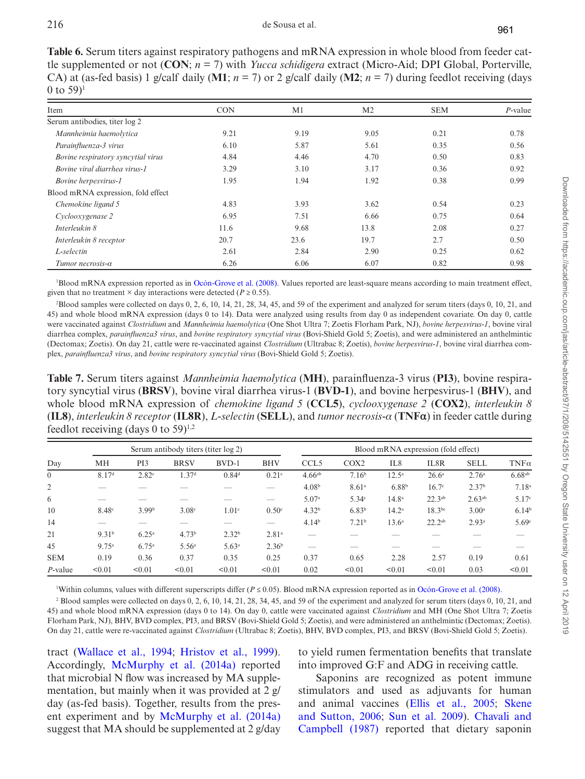<span id="page-8-0"></span>**Table 6.** Serum titers against respiratory pathogens and mRNA expression in whole blood from feeder cattle supplemented or not (**CON**; *n* = 7) with *Yucca schidigera* extract (Micro-Aid; DPI Global, Porterville, CA) at (as-fed basis) 1 g/calf daily (M1;  $n = 7$ ) or 2 g/calf daily (M2;  $n = 7$ ) during feedlot receiving (days 0 to  $59$ <sup>1</sup>

| Item                               | <b>CON</b> | M <sub>1</sub> | M <sub>2</sub> | <b>SEM</b> | $P$ -value |
|------------------------------------|------------|----------------|----------------|------------|------------|
| Serum antibodies, titer log 2      |            |                |                |            |            |
| Mannheimia haemolytica             | 9.21       | 9.19           | 9.05           | 0.21       | 0.78       |
| Parainfluenza-3 virus              | 6.10       | 5.87           | 5.61           | 0.35       | 0.56       |
| Bovine respiratory syncytial virus | 4.84       | 4.46           | 4.70           | 0.50       | 0.83       |
| Bovine viral diarrhea virus-1      | 3.29       | 3.10           | 3.17           | 0.36       | 0.92       |
| Bovine herpesvirus-1               | 1.95       | 1.94           | 1.92           | 0.38       | 0.99       |
| Blood mRNA expression, fold effect |            |                |                |            |            |
| Chemokine ligand 5                 | 4.83       | 3.93           | 3.62           | 0.54       | 0.23       |
| Cyclooxygenase 2                   | 6.95       | 7.51           | 6.66           | 0.75       | 0.64       |
| Interleukin 8                      | 11.6       | 9.68           | 13.8           | 2.08       | 0.27       |
| Interleukin 8 receptor             | 20.7       | 23.6           | 19.7           | 2.7        | 0.50       |
| L-selectin                         | 2.61       | 2.84           | 2.90           | 0.25       | 0.62       |
| Tumor necrosis-α                   | 6.26       | 6.06           | 6.07           | 0.82       | 0.98       |

1 Blood mRNA expression reported as in [Ocón-Grove et al. \(2008\)](#page-10-11). Values reported are least-square means according to main treatment effect, given that no treatment  $\times$  day interactions were detected ( $P \ge 0.55$ ).

2 Blood samples were collected on days 0, 2, 6, 10, 14, 21, 28, 34, 45, and 59 of the experiment and analyzed for serum titers (days 0, 10, 21, and 45) and whole blood mRNA expression (days 0 to 14). Data were analyzed using results from day 0 as independent covariate. On day 0, cattle were vaccinated against *Clostridium* and *Mannheimia haemolytica* (One Shot Ultra 7; Zoetis Florham Park, NJ), *bovine herpesvirus-1*, bovine viral diarrhea complex, *parainfluenza3 virus*, and *bovine respiratory syncytial virus* (Bovi-Shield Gold 5; Zoetis), and were administered an anthelmintic (Dectomax; Zoetis). On day 21, cattle were re-vaccinated against *Clostridium* (Ultrabac 8; Zoetis), *bovine herpesvirus-1*, bovine viral diarrhea complex, *parainfluenza3 virus*, and *bovine respiratory syncytial virus* (Bovi-Shield Gold 5; Zoetis).

<span id="page-8-1"></span>**Table 7.** Serum titers against *Mannheimia haemolytica* (**MH**), parainfluenza-3 virus (**PI3**), bovine respiratory syncytial virus (**BRSV**), bovine viral diarrhea virus-1 (**BVD-1**), and bovine herpesvirus-1 (**BHV**), and whole blood mRNA expression of *chemokine ligand 5* (**CCL5**), *cyclooxygenase 2* (**COX2**), *interleukin 8* (**IL8**), *interleukin 8 receptor* (**IL8R**), *L-selectin* (**SELL**), and *tumor necrosis-α* (**TNFα**) in feeder cattle during feedlot receiving (days 0 to 59)<sup>1,2</sup>

| Day            | Serum antibody titers (titer log 2) |                   |                   |                   | Blood mRNA expression (fold effect) |                      |                   |                   |                   |                    |             |
|----------------|-------------------------------------|-------------------|-------------------|-------------------|-------------------------------------|----------------------|-------------------|-------------------|-------------------|--------------------|-------------|
|                | MН                                  | PI3               | <b>BRSV</b>       | $BVD-1$           | <b>BHV</b>                          | CCL <sub>5</sub>     | COX <sub>2</sub>  | IL <sub>8</sub>   | IL8R              | <b>SELL</b>        | $TNF\alpha$ |
| $\overline{0}$ | 8.17 <sup>d</sup>                   | 2.82 <sup>c</sup> | 1.37 <sup>d</sup> | 0.84 <sup>d</sup> | 0.21 <sup>c</sup>                   | $4.66$ <sup>ab</sup> | 7.16 <sup>b</sup> | $12.5^{\rm a}$    | 26.6 <sup>a</sup> | 2.76 <sup>a</sup>  | 6.68ab      |
| 2              |                                     |                   |                   |                   |                                     | 4.08 <sup>b</sup>    | 8.61 <sup>a</sup> | 6.88 <sup>b</sup> | $16.7^\circ$      | 2.37 <sup>b</sup>  | $7.18^{a}$  |
| 6              |                                     |                   |                   |                   |                                     | 5.07 <sup>a</sup>    | 5.34 <sup>c</sup> | 14.8 <sup>a</sup> | $22.3^{ab}$       | 2.63 <sup>ab</sup> | 5.17c       |
| 10             | 8.48 <sup>c</sup>                   | 3.99 <sup>b</sup> | 3.08 <sup>c</sup> | 1.01 <sup>c</sup> | 0.50 <sup>c</sup>                   | 4.32 <sup>b</sup>    | 6.83 <sup>b</sup> | $14.2^{\circ}$    | $18.3^{bc}$       | 3.00 <sup>a</sup>  | $6.14^t$    |
| 14             | _                                   |                   |                   |                   | _                                   | 4.14 <sup>b</sup>    | 7.21 <sup>b</sup> | $13.6^{\circ}$    | $22.2^{ab}$       | 2.93 <sup>a</sup>  | 5.69°       |
| 21             | 9.31 <sup>b</sup>                   | $6.25^{\rm a}$    | 4.73 <sup>b</sup> | 2.32 <sup>b</sup> | 2.81 <sup>a</sup>                   |                      |                   |                   |                   |                    |             |
| 45             | 9.75 <sup>a</sup>                   | $6.75^{\rm a}$    | 5.56 <sup>a</sup> | 5.63 <sup>a</sup> | 2.36 <sup>b</sup>                   |                      |                   |                   |                   |                    |             |
| <b>SEM</b>     | 0.19                                | 0.36              | 0.37              | 0.35              | 0.25                                | 0.37                 | 0.65              | 2.28              | 2.57              | 0.19               | 0.61        |
| $P$ -value     | < 0.01                              | < 0.01            | < 0.01            | < 0.01            | < 0.01                              | 0.02                 | < 0.01            | < 0.01            | < 0.01            | 0.03               | < 0.01      |

1 Within columns, values with different superscripts differ (*P* ≤ 0.05). Blood mRNA expression reported as in [Ocón-Grove et al. \(2008\).](#page-10-11)

 $^2$  Blood samples were collected on days 0, 2, 6, 10, 14, 21, 28, 34, 45, and 59 of the experiment and analyzed for serum titers (days 0, 10, 21, and 45) and whole blood mRNA expression (days 0 to 14). On day 0, cattle were vaccinated against *Clostridium* and MH (One Shot Ultra 7; Zoetis Florham Park, NJ), BHV, BVD complex, PI3, and BRSV (Bovi-Shield Gold 5; Zoetis), and were administered an anthelmintic (Dectomax; Zoetis). On day 21, cattle were re-vaccinated against *Clostridium* (Ultrabac 8; Zoetis), BHV, BVD complex, PI3, and BRSV (Bovi-Shield Gold 5; Zoetis).

tract [\(Wallace et al., 1994;](#page-11-11) [Hristov et al., 1999](#page-10-21)). Accordingly, [McMurphy et al. \(2014a\)](#page-10-4) reported that microbial N flow was increased by MA supplementation, but mainly when it was provided at 2 g/ day (as-fed basis). Together, results from the present experiment and by [McMurphy et al. \(2014a\)](#page-10-4) suggest that MA should be supplemented at 2 g/day

to yield rumen fermentation benefits that translate into improved G:F and ADG in receiving cattle.

Saponins are recognized as potent immune stimulators and used as adjuvants for human and animal vaccines ([Ellis et al., 2005](#page-10-22); [Skene](#page-11-12)  [and Sutton, 2006](#page-11-12); [Sun et al. 2009](#page-11-13)). [Chavali and](#page-9-7)  [Campbell \(1987\)](#page-9-7) reported that dietary saponin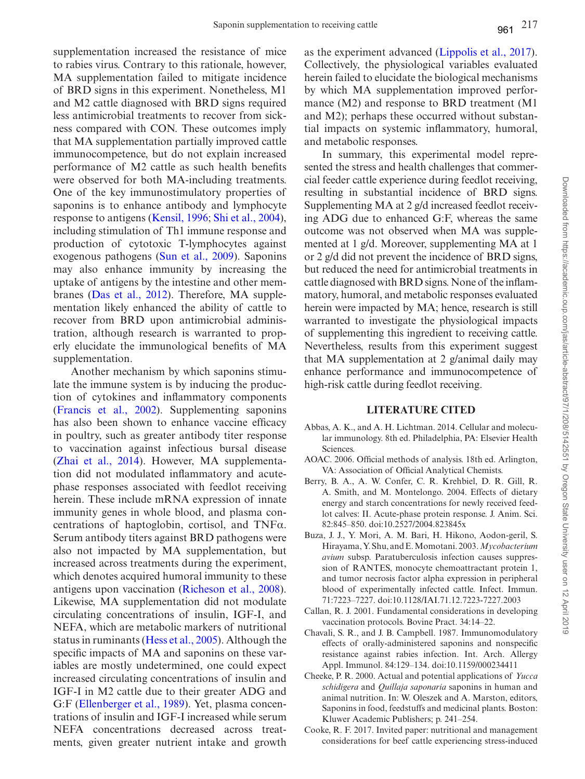supplementation increased the resistance of mice to rabies virus. Contrary to this rationale, however, MA supplementation failed to mitigate incidence of BRD signs in this experiment. Nonetheless, M1 and M2 cattle diagnosed with BRD signs required less antimicrobial treatments to recover from sickness compared with CON. These outcomes imply that MA supplementation partially improved cattle immunocompetence, but do not explain increased performance of M2 cattle as such health benefits were observed for both MA-including treatments. One of the key immunostimulatory properties of saponins is to enhance antibody and lymphocyte response to antigens [\(Kensil, 1996](#page-10-23); [Shi et al., 2004](#page-11-4)), including stimulation of Th1 immune response and production of cytotoxic T-lymphocytes against exogenous pathogens ([Sun et al., 2009](#page-11-13)). Saponins may also enhance immunity by increasing the uptake of antigens by the intestine and other membranes ([Das et al., 2012\)](#page-10-24). Therefore, MA supplementation likely enhanced the ability of cattle to recover from BRD upon antimicrobial administration, although research is warranted to properly elucidate the immunological benefits of MA supplementation.

Another mechanism by which saponins stimulate the immune system is by inducing the production of cytokines and inflammatory components ([Francis et al., 2002\)](#page-10-17). Supplementing saponins has also been shown to enhance vaccine efficacy in poultry, such as greater antibody titer response to vaccination against infectious bursal disease ([Zhai et al., 2014](#page-11-14)). However, MA supplementation did not modulated inflammatory and acutephase responses associated with feedlot receiving herein. These include mRNA expression of innate immunity genes in whole blood, and plasma concentrations of haptoglobin, cortisol, and TNFα. Serum antibody titers against BRD pathogens were also not impacted by MA supplementation, but increased across treatments during the experiment, which denotes acquired humoral immunity to these antigens upon vaccination [\(Richeson et al., 2008](#page-10-25)). Likewise, MA supplementation did not modulate circulating concentrations of insulin, IGF-I, and NEFA, which are metabolic markers of nutritional status in ruminants ([Hess et al., 2005\)](#page-10-9). Although the specific impacts of MA and saponins on these variables are mostly undetermined, one could expect increased circulating concentrations of insulin and IGF-I in M2 cattle due to their greater ADG and G:F ([Ellenberger et al., 1989](#page-10-26)). Yet, plasma concentrations of insulin and IGF-I increased while serum NEFA concentrations decreased across treatments, given greater nutrient intake and growth as the experiment advanced ([Lippolis et al., 2017](#page-10-8)). Collectively, the physiological variables evaluated herein failed to elucidate the biological mechanisms by which MA supplementation improved performance (M2) and response to BRD treatment (M1 and M2); perhaps these occurred without substantial impacts on systemic inflammatory, humoral, and metabolic responses.

In summary, this experimental model represented the stress and health challenges that commercial feeder cattle experience during feedlot receiving, resulting in substantial incidence of BRD signs. Supplementing MA at 2 g/d increased feedlot receiving ADG due to enhanced G:F, whereas the same outcome was not observed when MA was supplemented at 1 g/d. Moreover, supplementing MA at 1 or 2 g/d did not prevent the incidence of BRD signs, but reduced the need for antimicrobial treatments in cattle diagnosed with BRD signs. None of the inflammatory, humoral, and metabolic responses evaluated herein were impacted by MA; hence, research is still warranted to investigate the physiological impacts of supplementing this ingredient to receiving cattle. Nevertheless, results from this experiment suggest that MA supplementation at 2 g/animal daily may enhance performance and immunocompetence of high-risk cattle during feedlot receiving.

### **LITERATURE CITED**

- <span id="page-9-4"></span>Abbas, A. K., and A. H. Lichtman. 2014. Cellular and molecular immunology. 8th ed. Philadelphia, PA: Elsevier Health Sciences.
- <span id="page-9-1"></span>AOAC. 2006. Official methods of analysis. 18th ed. Arlington, VA: Association of Official Analytical Chemists.
- <span id="page-9-5"></span>Berry, B. A., A. W. Confer, C. R. Krehbiel, D. R. Gill, R. A. Smith, and M. Montelongo. 2004. Effects of dietary energy and starch concentrations for newly received feedlot calves: II. Acute-phase protein response. J. Anim. Sci. 82:845–850. doi:10.2527/2004.823845x
- <span id="page-9-3"></span>Buza, J. J., Y. Mori, A. M. Bari, H. Hikono, Aodon-geril, S. Hirayama, Y. Shu, and E. Momotani. 2003. *Mycobacterium avium* subsp. Paratuberculosis infection causes suppression of RANTES, monocyte chemoattractant protein 1, and tumor necrosis factor alpha expression in peripheral blood of experimentally infected cattle. Infect. Immun. 71:7223–7227. doi:10.1128/IAI.71.12.7223-7227.2003
- <span id="page-9-2"></span>Callan, R. J. 2001. Fundamental considerations in developing vaccination protocols. Bovine Pract. 34:14–22.
- <span id="page-9-7"></span>Chavali, S. R., and J. B. Campbell. 1987. Immunomodulatory effects of orally-administered saponins and nonspecific resistance against rabies infection. Int. Arch. Allergy Appl. Immunol. 84:129–134. doi:10.1159/000234411
- <span id="page-9-6"></span>Cheeke, P. R. 2000. Actual and potential applications of *Yucca schidigera* and *Quillaja saponaria* saponins in human and animal nutrition. In: W. Oleszek and A. Marston, editors, Saponins in food, feedstuffs and medicinal plants. Boston: Kluwer Academic Publishers; p. 241–254.
- <span id="page-9-0"></span>Cooke, R. F. 2017. Invited paper: nutritional and management considerations for beef cattle experiencing stress-induced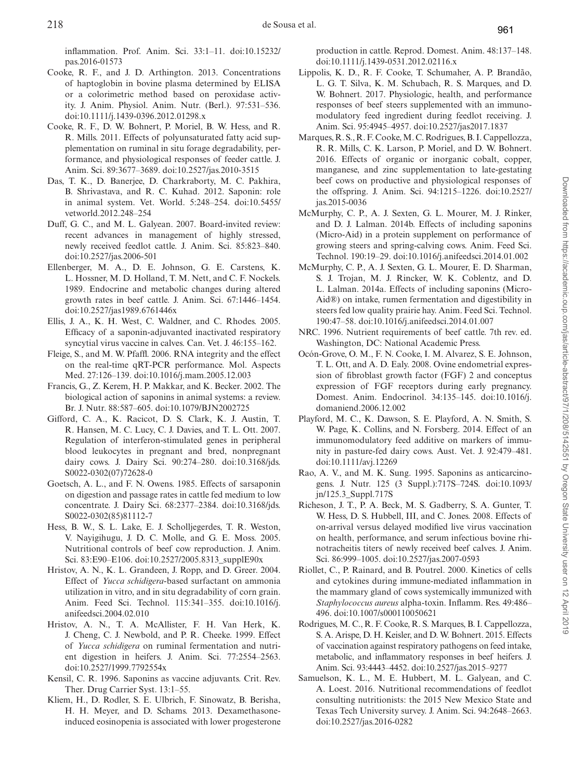inflammation. Prof. Anim. Sci. 33:1–11. doi:10.15232/ pas.2016-01573

- <span id="page-10-6"></span>Cooke, R. F., and J. D. Arthington. 2013. Concentrations of haptoglobin in bovine plasma determined by ELISA or a colorimetric method based on peroxidase activity. J. Anim. Physiol. Anim. Nutr. (Berl.). 97:531–536. doi:10.1111/j.1439-0396.2012.01298.x
- <span id="page-10-18"></span>Cooke, R. F., D. W. Bohnert, P. Moriel, B. W. Hess, and R. R. Mills. 2011. Effects of polyunsaturated fatty acid supplementation on ruminal in situ forage degradability, performance, and physiological responses of feeder cattle. J. Anim. Sci. 89:3677–3689. doi:10.2527/jas.2010-3515
- <span id="page-10-24"></span>Das, T. K., D. Banerjee, D. Charkraborty, M. C. Pakhira, B. Shrivastava, and R. C. Kuhad. 2012. Saponin: role in animal system. Vet. World. 5:248–254. doi:10.5455/ vetworld.2012.248–254
- <span id="page-10-0"></span>Duff, G. C., and M. L. Galyean. 2007. Board-invited review: recent advances in management of highly stressed, newly received feedlot cattle. J. Anim. Sci. 85:823–840. doi:10.2527/jas.2006-501
- <span id="page-10-26"></span>Ellenberger, M. A., D. E. Johnson, G. E. Carstens, K. L. Hossner, M. D. Holland, T. M. Nett, and C. F. Nockels. 1989. Endocrine and metabolic changes during altered growth rates in beef cattle. J. Anim. Sci. 67:1446–1454. doi:10.2527/jas1989.6761446x
- <span id="page-10-22"></span>Ellis, J. A., K. H. West, C. Waldner, and C. Rhodes. 2005. Efficacy of a saponin-adjuvanted inactivated respiratory syncytial virus vaccine in calves. Can. Vet. J. 46:155–162.
- <span id="page-10-10"></span>Fleige, S., and M. W. Pfaffl. 2006. RNA integrity and the effect on the real-time qRT-PCR performance. Mol. Aspects Med. 27:126–139. doi:10.1016/j.mam.2005.12.003
- <span id="page-10-17"></span>Francis, G., Z. Kerem, H. P. Makkar, and K. Becker. 2002. The biological action of saponins in animal systems: a review. Br. J. Nutr. 88:587–605. doi:10.1079/BJN2002725
- <span id="page-10-15"></span>Gifford, C. A., K. Racicot, D. S. Clark, K. J. Austin, T. R. Hansen, M. C. Lucy, C. J. Davies, and T. L. Ott. 2007. Regulation of interferon-stimulated genes in peripheral blood leukocytes in pregnant and bred, nonpregnant dairy cows. J. Dairy Sci. 90:274–280. doi:10.3168/jds. S0022-0302(07)72628-0
- <span id="page-10-2"></span>Goetsch, A. L., and F. N. Owens. 1985. Effects of sarsaponin on digestion and passage rates in cattle fed medium to low concentrate. J. Dairy Sci. 68:2377–2384. doi:10.3168/jds. S0022-0302(85)81112-7
- <span id="page-10-9"></span>Hess, B. W., S. L. Lake, E. J. Scholljegerdes, T. R. Weston, V. Nayigihugu, J. D. C. Molle, and G. E. Moss. 2005. Nutritional controls of beef cow reproduction. J. Anim. Sci. 83:E90–E106. doi:10.2527/2005.8313\_supplE90x
- <span id="page-10-3"></span>Hristov, A. N., K. L. Grandeen, J. Ropp, and D. Greer. 2004. Effect of *Yucca schidigera*-based surfactant on ammonia utilization in vitro, and in situ degradability of corn grain. Anim. Feed Sci. Technol. 115:341–355. doi:10.1016/j. anifeedsci.2004.02.010
- <span id="page-10-21"></span>Hristov, A. N., T. A. McAllister, F. H. Van Herk, K. J. Cheng, C. J. Newbold, and P. R. Cheeke. 1999. Effect of *Yucca schidigera* on ruminal fermentation and nutrient digestion in heifers. J. Anim. Sci. 77:2554–2563. doi:10.2527/1999.7792554x
- <span id="page-10-23"></span>Kensil, C. R. 1996. Saponins as vaccine adjuvants. Crit. Rev. Ther. Drug Carrier Syst. 13:1–55.
- <span id="page-10-14"></span>Kliem, H., D. Rodler, S. E. Ulbrich, F. Sinowatz, B. Berisha, H. H. Meyer, and D. Schams. 2013. Dexamethasoneinduced eosinopenia is associated with lower progesterone

production in cattle. Reprod. Domest. Anim. 48:137–148. doi:10.1111/j.1439-0531.2012.02116.x

- <span id="page-10-8"></span>Lippolis, K. D., R. F. Cooke, T. Schumaher, A. P. Brandão, L. G. T. Silva, K. M. Schubach, R. S. Marques, and D. W. Bohnert. 2017. Physiologic, health, and performance responses of beef steers supplemented with an immunomodulatory feed ingredient during feedlot receiving. J. Anim. Sci. 95:4945–4957. doi:10.2527/jas2017.1837
- <span id="page-10-20"></span>Marques, R. S., R. F. Cooke, M. C. Rodrigues, B. I. Cappellozza, R. R. Mills, C. K. Larson, P. Moriel, and D. W. Bohnert. 2016. Effects of organic or inorganic cobalt, copper, manganese, and zinc supplementation to late-gestating beef cows on productive and physiological responses of the offspring. J. Anim. Sci. 94:1215–1226. doi:10.2527/ jas.2015-0036
- <span id="page-10-5"></span>McMurphy, C. P., A. J. Sexten, G. L. Mourer, M. J. Rinker, and D. J. Lalman. 2014b. Effects of including saponins (Micro-Aid) in a protein supplement on performance of growing steers and spring-calving cows. Anim. Feed Sci. Technol. 190:19–29. doi:10.1016/j.anifeedsci.2014.01.002
- <span id="page-10-4"></span>McMurphy, C. P., A. J. Sexten, G. L. Mourer, E. D. Sharman, S. J. Trojan, M. J. Rincker, W. K. Coblentz, and D. L. Lalman. 2014a. Effects of including saponins (Micro-Aid®) on intake, rumen fermentation and digestibility in steers fed low quality prairie hay. Anim. Feed Sci. Technol. 190:47–58. doi:10.1016/j.anifeedsci.2014.01.007
- <span id="page-10-7"></span>NRC. 1996. Nutrient requirements of beef cattle. 7th rev. ed. Washington, DC: National Academic Press.
- <span id="page-10-11"></span>Ocón-Grove, O. M., F. N. Cooke, I. M. Alvarez, S. E. Johnson, T. L. Ott, and A. D. Ealy. 2008. Ovine endometrial expression of fibroblast growth factor (FGF) 2 and conceptus expression of FGF receptors during early pregnancy. Domest. Anim. Endocrinol. 34:135–145. doi:10.1016/j. domaniend.2006.12.002
- <span id="page-10-13"></span>Playford, M. C., K. Dawson, S. E. Playford, A. N. Smith, S. W. Page, K. Collins, and N. Forsberg. 2014. Effect of an immunomodulatory feed additive on markers of immunity in pasture-fed dairy cows. Aust. Vet. J. 92:479–481. doi:10.1111/avj.12269
- <span id="page-10-16"></span>Rao, A. V., and M. K. Sung. 1995. Saponins as anticarcinogens. J. Nutr. 125 (3 Suppl.):717S–724S. doi:10.1093/ jn/125.3\_Suppl.717S
- <span id="page-10-25"></span>Richeson, J. T., P. A. Beck, M. S. Gadberry, S. A. Gunter, T. W. Hess, D. S. Hubbell, III, and C. Jones. 2008. Effects of on-arrival versus delayed modified live virus vaccination on health, performance, and serum infectious bovine rhinotracheitis titers of newly received beef calves. J. Anim. Sci. 86:999–1005. doi:10.2527/jas.2007-0593
- <span id="page-10-12"></span>Riollet, C., P. Rainard, and B. Poutrel. 2000. Kinetics of cells and cytokines during immune-mediated inflammation in the mammary gland of cows systemically immunized with *Staphylococcus aureus* alpha-toxin. Inflamm. Res. 49:486– 496. doi:10.1007/s000110050621
- <span id="page-10-19"></span>Rodrigues, M. C., R. F. Cooke, R. S. Marques, B. I. Cappellozza, S. A. Arispe, D. H. Keisler, and D. W. Bohnert. 2015. Effects of vaccination against respiratory pathogens on feed intake, metabolic, and inflammatory responses in beef heifers. J. Anim. Sci. 93:4443–4452. doi:10.2527/jas.2015–9277
- <span id="page-10-1"></span>Samuelson, K. L., M. E. Hubbert, M. L. Galyean, and C. A. Loest. 2016. Nutritional recommendations of feedlot consulting nutritionists: the 2015 New Mexico State and Texas Tech University survey. J. Anim. Sci. 94:2648–2663. doi:10.2527/jas.2016-0282